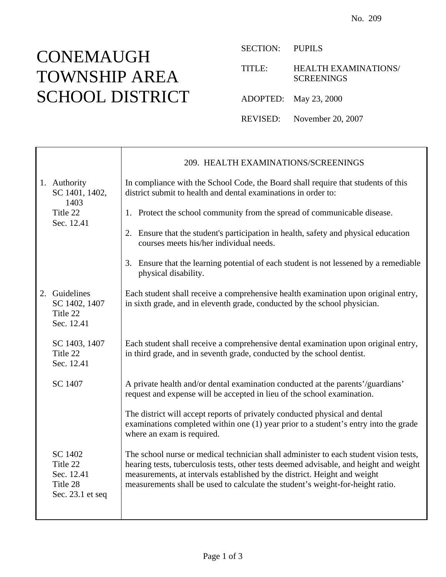È

SECTION: PUPILS

TITLE: HEALTH EXAMINATIONS/ **SCREENINGS** 

ADOPTED: May 23, 2000

REVISED: November 20, 2007

|                                                                   | 209. HEALTH EXAMINATIONS/SCREENINGS                                                                                                                                                                                                                                                                                                            |
|-------------------------------------------------------------------|------------------------------------------------------------------------------------------------------------------------------------------------------------------------------------------------------------------------------------------------------------------------------------------------------------------------------------------------|
| 1. Authority<br>SC 1401, 1402,<br>1403<br>Title 22<br>Sec. 12.41  | In compliance with the School Code, the Board shall require that students of this<br>district submit to health and dental examinations in order to:                                                                                                                                                                                            |
|                                                                   | 1. Protect the school community from the spread of communicable disease.                                                                                                                                                                                                                                                                       |
|                                                                   | 2. Ensure that the student's participation in health, safety and physical education<br>courses meets his/her individual needs.                                                                                                                                                                                                                 |
|                                                                   | 3. Ensure that the learning potential of each student is not lessened by a remediable<br>physical disability.                                                                                                                                                                                                                                  |
| 2. Guidelines<br>SC 1402, 1407<br>Title 22<br>Sec. 12.41          | Each student shall receive a comprehensive health examination upon original entry,<br>in sixth grade, and in eleventh grade, conducted by the school physician.                                                                                                                                                                                |
| SC 1403, 1407<br>Title 22<br>Sec. 12.41                           | Each student shall receive a comprehensive dental examination upon original entry,<br>in third grade, and in seventh grade, conducted by the school dentist.                                                                                                                                                                                   |
| SC 1407                                                           | A private health and/or dental examination conducted at the parents'/guardians'<br>request and expense will be accepted in lieu of the school examination.                                                                                                                                                                                     |
|                                                                   | The district will accept reports of privately conducted physical and dental<br>examinations completed within one (1) year prior to a student's entry into the grade<br>where an exam is required.                                                                                                                                              |
| SC 1402<br>Title 22<br>Sec. 12.41<br>Title 28<br>Sec. 23.1 et seq | The school nurse or medical technician shall administer to each student vision tests,<br>hearing tests, tuberculosis tests, other tests deemed advisable, and height and weight<br>measurements, at intervals established by the district. Height and weight<br>measurements shall be used to calculate the student's weight-for-height ratio. |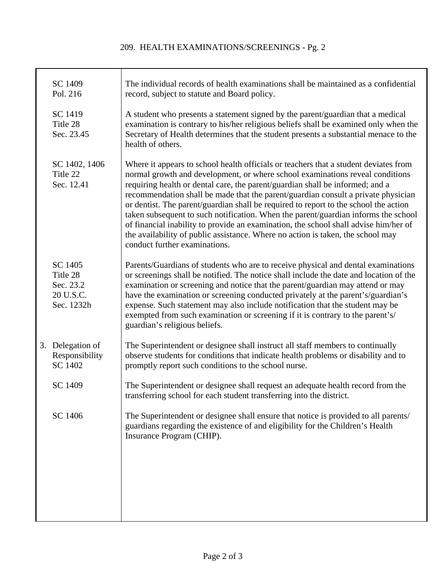#### 209. HEALTH EXAMINATIONS/SCREENINGS - Pg. 2

| SC 1409<br>Pol. 216                                         | The individual records of health examinations shall be maintained as a confidential<br>record, subject to statute and Board policy.                                                                                                                                                                                                                                                                                                                                                                                                                                                                                                                                                                                                   |
|-------------------------------------------------------------|---------------------------------------------------------------------------------------------------------------------------------------------------------------------------------------------------------------------------------------------------------------------------------------------------------------------------------------------------------------------------------------------------------------------------------------------------------------------------------------------------------------------------------------------------------------------------------------------------------------------------------------------------------------------------------------------------------------------------------------|
| SC 1419<br>Title 28<br>Sec. 23.45                           | A student who presents a statement signed by the parent/guardian that a medical<br>examination is contrary to his/her religious beliefs shall be examined only when the<br>Secretary of Health determines that the student presents a substantial menace to the<br>health of others.                                                                                                                                                                                                                                                                                                                                                                                                                                                  |
| SC 1402, 1406<br>Title 22<br>Sec. 12.41                     | Where it appears to school health officials or teachers that a student deviates from<br>normal growth and development, or where school examinations reveal conditions<br>requiring health or dental care, the parent/guardian shall be informed; and a<br>recommendation shall be made that the parent/guardian consult a private physician<br>or dentist. The parent/guardian shall be required to report to the school the action<br>taken subsequent to such notification. When the parent/guardian informs the school<br>of financial inability to provide an examination, the school shall advise him/her of<br>the availability of public assistance. Where no action is taken, the school may<br>conduct further examinations. |
| SC 1405<br>Title 28<br>Sec. 23.2<br>20 U.S.C.<br>Sec. 1232h | Parents/Guardians of students who are to receive physical and dental examinations<br>or screenings shall be notified. The notice shall include the date and location of the<br>examination or screening and notice that the parent/guardian may attend or may<br>have the examination or screening conducted privately at the parent's/guardian's<br>expense. Such statement may also include notification that the student may be<br>exempted from such examination or screening if it is contrary to the parent's/<br>guardian's religious beliefs.                                                                                                                                                                                 |
| 3. Delegation of<br>Responsibility<br>SC 1402               | The Superintendent or designee shall instruct all staff members to continually<br>observe students for conditions that indicate health problems or disability and to<br>promptly report such conditions to the school nurse.                                                                                                                                                                                                                                                                                                                                                                                                                                                                                                          |
| SC 1409                                                     | The Superintendent or designee shall request an adequate health record from the<br>transferring school for each student transferring into the district.                                                                                                                                                                                                                                                                                                                                                                                                                                                                                                                                                                               |
| SC 1406                                                     | The Superintendent or designee shall ensure that notice is provided to all parents/<br>guardians regarding the existence of and eligibility for the Children's Health<br>Insurance Program (CHIP).                                                                                                                                                                                                                                                                                                                                                                                                                                                                                                                                    |
|                                                             |                                                                                                                                                                                                                                                                                                                                                                                                                                                                                                                                                                                                                                                                                                                                       |
|                                                             |                                                                                                                                                                                                                                                                                                                                                                                                                                                                                                                                                                                                                                                                                                                                       |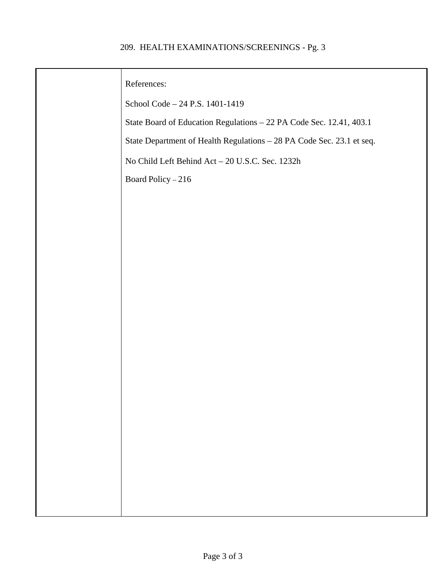#### 209. HEALTH EXAMINATIONS/SCREENINGS - Pg. 3

| References:                                                           |
|-----------------------------------------------------------------------|
| School Code - 24 P.S. 1401-1419                                       |
| State Board of Education Regulations - 22 PA Code Sec. 12.41, 403.1   |
| State Department of Health Regulations - 28 PA Code Sec. 23.1 et seq. |
| No Child Left Behind Act - 20 U.S.C. Sec. 1232h                       |
| Board Policy - 216                                                    |
|                                                                       |
|                                                                       |
|                                                                       |
|                                                                       |
|                                                                       |
|                                                                       |
|                                                                       |
|                                                                       |
|                                                                       |
|                                                                       |
|                                                                       |
|                                                                       |
|                                                                       |
|                                                                       |
|                                                                       |
|                                                                       |
|                                                                       |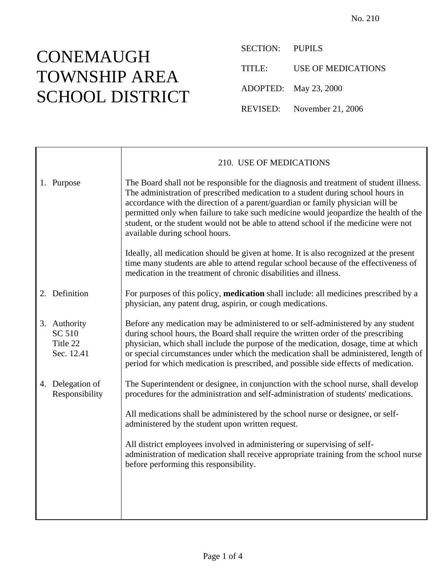SECTION: PUPILS TITLE: USE OF MEDICATIONS ADOPTED: May 23, 2000 REVISED: November 21, 2006

|                                                  | 210. USE OF MEDICATIONS                                                                                                                                                                                                                                                                                                                                                                                                                                                      |
|--------------------------------------------------|------------------------------------------------------------------------------------------------------------------------------------------------------------------------------------------------------------------------------------------------------------------------------------------------------------------------------------------------------------------------------------------------------------------------------------------------------------------------------|
| 1. Purpose                                       | The Board shall not be responsible for the diagnosis and treatment of student illness.<br>The administration of prescribed medication to a student during school hours in<br>accordance with the direction of a parent/guardian or family physician will be<br>permitted only when failure to take such medicine would jeopardize the health of the<br>student, or the student would not be able to attend school if the medicine were not<br>available during school hours. |
|                                                  | Ideally, all medication should be given at home. It is also recognized at the present<br>time many students are able to attend regular school because of the effectiveness of<br>medication in the treatment of chronic disabilities and illness.                                                                                                                                                                                                                            |
| 2. Definition                                    | For purposes of this policy, <b>medication</b> shall include: all medicines prescribed by a<br>physician, any patent drug, aspirin, or cough medications.                                                                                                                                                                                                                                                                                                                    |
| 3. Authority<br>SC 510<br>Title 22<br>Sec. 12.41 | Before any medication may be administered to or self-administered by any student<br>during school hours, the Board shall require the written order of the prescribing<br>physician, which shall include the purpose of the medication, dosage, time at which<br>or special circumstances under which the medication shall be administered, length of<br>period for which medication is prescribed, and possible side effects of medication.                                  |
| 4. Delegation of<br>Responsibility               | The Superintendent or designee, in conjunction with the school nurse, shall develop<br>procedures for the administration and self-administration of students' medications.                                                                                                                                                                                                                                                                                                   |
|                                                  | All medications shall be administered by the school nurse or designee, or self-<br>administered by the student upon written request.                                                                                                                                                                                                                                                                                                                                         |
|                                                  | All district employees involved in administering or supervising of self-<br>administration of medication shall receive appropriate training from the school nurse<br>before performing this responsibility.                                                                                                                                                                                                                                                                  |
|                                                  |                                                                                                                                                                                                                                                                                                                                                                                                                                                                              |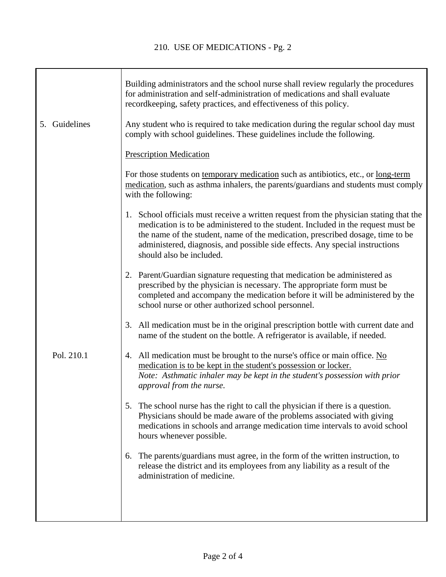T

|               | Building administrators and the school nurse shall review regularly the procedures<br>for administration and self-administration of medications and shall evaluate<br>recordkeeping, safety practices, and effectiveness of this policy.                                                                                                                                 |
|---------------|--------------------------------------------------------------------------------------------------------------------------------------------------------------------------------------------------------------------------------------------------------------------------------------------------------------------------------------------------------------------------|
| 5. Guidelines | Any student who is required to take medication during the regular school day must<br>comply with school guidelines. These guidelines include the following.                                                                                                                                                                                                              |
|               | <b>Prescription Medication</b>                                                                                                                                                                                                                                                                                                                                           |
|               | For those students on temporary medication such as antibiotics, etc., or <u>long-term</u><br>medication, such as asthma inhalers, the parents/guardians and students must comply<br>with the following:                                                                                                                                                                  |
|               | 1. School officials must receive a written request from the physician stating that the<br>medication is to be administered to the student. Included in the request must be<br>the name of the student, name of the medication, prescribed dosage, time to be<br>administered, diagnosis, and possible side effects. Any special instructions<br>should also be included. |
|               | 2. Parent/Guardian signature requesting that medication be administered as<br>prescribed by the physician is necessary. The appropriate form must be<br>completed and accompany the medication before it will be administered by the<br>school nurse or other authorized school personnel.                                                                               |
|               | 3. All medication must be in the original prescription bottle with current date and<br>name of the student on the bottle. A refrigerator is available, if needed.                                                                                                                                                                                                        |
| Pol. 210.1    | 4. All medication must be brought to the nurse's office or main office. No<br>medication is to be kept in the student's possession or locker.<br>Note: Asthmatic inhaler may be kept in the student's possession with prior<br>approval from the nurse.                                                                                                                  |
|               | The school nurse has the right to call the physician if there is a question.<br>5.<br>Physicians should be made aware of the problems associated with giving<br>medications in schools and arrange medication time intervals to avoid school<br>hours whenever possible.                                                                                                 |
|               | 6. The parents/guardians must agree, in the form of the written instruction, to<br>release the district and its employees from any liability as a result of the<br>administration of medicine.                                                                                                                                                                           |
|               |                                                                                                                                                                                                                                                                                                                                                                          |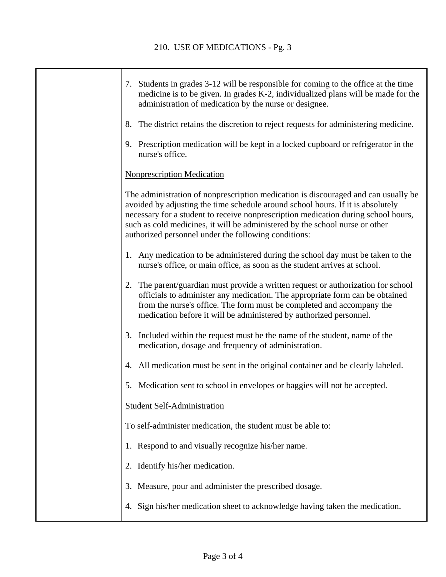| 7. Students in grades 3-12 will be responsible for coming to the office at the time<br>medicine is to be given. In grades K-2, individualized plans will be made for the<br>administration of medication by the nurse or designee.                                                                                                                                                                  |
|-----------------------------------------------------------------------------------------------------------------------------------------------------------------------------------------------------------------------------------------------------------------------------------------------------------------------------------------------------------------------------------------------------|
| 8. The district retains the discretion to reject requests for administering medicine.                                                                                                                                                                                                                                                                                                               |
| 9. Prescription medication will be kept in a locked cupboard or refrigerator in the<br>nurse's office.                                                                                                                                                                                                                                                                                              |
| <b>Nonprescription Medication</b>                                                                                                                                                                                                                                                                                                                                                                   |
| The administration of nonprescription medication is discouraged and can usually be<br>avoided by adjusting the time schedule around school hours. If it is absolutely<br>necessary for a student to receive nonprescription medication during school hours,<br>such as cold medicines, it will be administered by the school nurse or other<br>authorized personnel under the following conditions: |
| 1. Any medication to be administered during the school day must be taken to the<br>nurse's office, or main office, as soon as the student arrives at school.                                                                                                                                                                                                                                        |
| 2. The parent/guardian must provide a written request or authorization for school<br>officials to administer any medication. The appropriate form can be obtained<br>from the nurse's office. The form must be completed and accompany the<br>medication before it will be administered by authorized personnel.                                                                                    |
| 3. Included within the request must be the name of the student, name of the<br>medication, dosage and frequency of administration.                                                                                                                                                                                                                                                                  |
| 4. All medication must be sent in the original container and be clearly labeled.                                                                                                                                                                                                                                                                                                                    |
| 5. Medication sent to school in envelopes or baggies will not be accepted.                                                                                                                                                                                                                                                                                                                          |
| <b>Student Self-Administration</b>                                                                                                                                                                                                                                                                                                                                                                  |
| To self-administer medication, the student must be able to:                                                                                                                                                                                                                                                                                                                                         |
| 1. Respond to and visually recognize his/her name.                                                                                                                                                                                                                                                                                                                                                  |
| Identify his/her medication.<br>2.                                                                                                                                                                                                                                                                                                                                                                  |
| Measure, pour and administer the prescribed dosage.<br>3.                                                                                                                                                                                                                                                                                                                                           |
| Sign his/her medication sheet to acknowledge having taken the medication.<br>4.                                                                                                                                                                                                                                                                                                                     |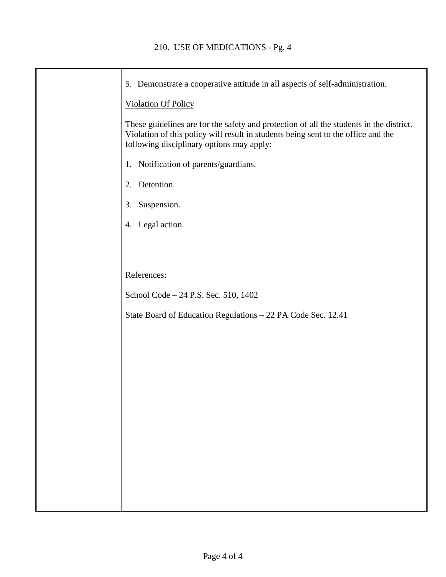| 5. Demonstrate a cooperative attitude in all aspects of self-administration.                                                                                                                                              |
|---------------------------------------------------------------------------------------------------------------------------------------------------------------------------------------------------------------------------|
| <b>Violation Of Policy</b>                                                                                                                                                                                                |
| These guidelines are for the safety and protection of all the students in the district.<br>Violation of this policy will result in students being sent to the office and the<br>following disciplinary options may apply: |
| 1. Notification of parents/guardians.                                                                                                                                                                                     |
| 2. Detention.                                                                                                                                                                                                             |
| 3. Suspension.                                                                                                                                                                                                            |
| 4. Legal action.                                                                                                                                                                                                          |
|                                                                                                                                                                                                                           |
|                                                                                                                                                                                                                           |
| References:                                                                                                                                                                                                               |
| School Code – 24 P.S. Sec. 510, 1402                                                                                                                                                                                      |
| State Board of Education Regulations - 22 PA Code Sec. 12.41                                                                                                                                                              |
|                                                                                                                                                                                                                           |
|                                                                                                                                                                                                                           |
|                                                                                                                                                                                                                           |
|                                                                                                                                                                                                                           |
|                                                                                                                                                                                                                           |
|                                                                                                                                                                                                                           |
|                                                                                                                                                                                                                           |
|                                                                                                                                                                                                                           |
|                                                                                                                                                                                                                           |
|                                                                                                                                                                                                                           |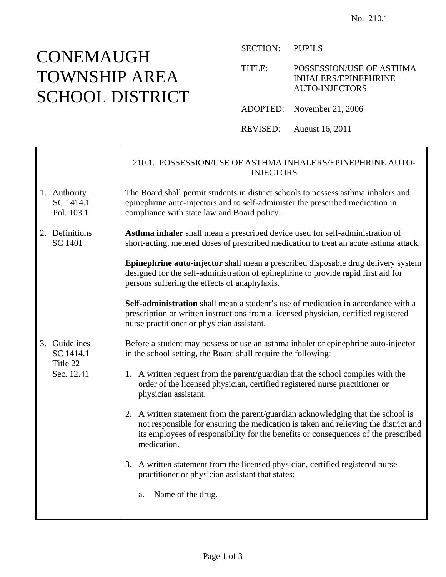┱

 $\mathsf{r}$ 

SECTION: PUPILS

TITLE: POSSESSION/USE OF ASTHMA INHALERS/EPINEPHRINE AUTO-INJECTORS

ADOPTED: November 21, 2006

REVISED: August 16, 2011

|                                         | 210.1. POSSESSION/USE OF ASTHMA INHALERS/EPINEPHRINE AUTO-<br><b>INJECTORS</b>                                                                                                                                                                                               |
|-----------------------------------------|------------------------------------------------------------------------------------------------------------------------------------------------------------------------------------------------------------------------------------------------------------------------------|
| 1. Authority<br>SC 1414.1<br>Pol. 103.1 | The Board shall permit students in district schools to possess asthma inhalers and<br>epinephrine auto-injectors and to self-administer the prescribed medication in<br>compliance with state law and Board policy.                                                          |
| 2. Definitions<br><b>SC 1401</b>        | Asthma inhaler shall mean a prescribed device used for self-administration of<br>short-acting, metered doses of prescribed medication to treat an acute asthma attack.                                                                                                       |
|                                         | Epinephrine auto-injector shall mean a prescribed disposable drug delivery system<br>designed for the self-administration of epinephrine to provide rapid first aid for<br>persons suffering the effects of anaphylaxis.                                                     |
|                                         | <b>Self-administration</b> shall mean a student's use of medication in accordance with a<br>prescription or written instructions from a licensed physician, certified registered<br>nurse practitioner or physician assistant.                                               |
| 3. Guidelines<br>SC 1414.1              | Before a student may possess or use an asthma inhaler or epinephrine auto-injector<br>in the school setting, the Board shall require the following:                                                                                                                          |
| Title 22<br>Sec. 12.41                  | 1. A written request from the parent/guardian that the school complies with the<br>order of the licensed physician, certified registered nurse practitioner or<br>physician assistant.                                                                                       |
|                                         | 2. A written statement from the parent/guardian acknowledging that the school is<br>not responsible for ensuring the medication is taken and relieving the district and<br>its employees of responsibility for the benefits or consequences of the prescribed<br>medication. |
|                                         | 3. A written statement from the licensed physician, certified registered nurse<br>practitioner or physician assistant that states:                                                                                                                                           |
|                                         | Name of the drug.<br>a.                                                                                                                                                                                                                                                      |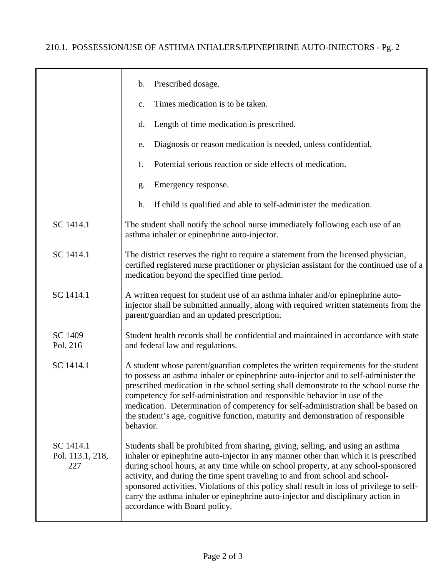|                                      | Prescribed dosage.<br>$\mathbf b$ .                                                                                                                                                                                                                                                                                                                                                                                                                                                                                                                              |
|--------------------------------------|------------------------------------------------------------------------------------------------------------------------------------------------------------------------------------------------------------------------------------------------------------------------------------------------------------------------------------------------------------------------------------------------------------------------------------------------------------------------------------------------------------------------------------------------------------------|
|                                      | Times medication is to be taken.<br>c.                                                                                                                                                                                                                                                                                                                                                                                                                                                                                                                           |
|                                      | Length of time medication is prescribed.<br>d.                                                                                                                                                                                                                                                                                                                                                                                                                                                                                                                   |
|                                      | Diagnosis or reason medication is needed, unless confidential.<br>e.                                                                                                                                                                                                                                                                                                                                                                                                                                                                                             |
|                                      | f.<br>Potential serious reaction or side effects of medication.                                                                                                                                                                                                                                                                                                                                                                                                                                                                                                  |
|                                      | Emergency response.<br>g.                                                                                                                                                                                                                                                                                                                                                                                                                                                                                                                                        |
|                                      | If child is qualified and able to self-administer the medication.<br>h.                                                                                                                                                                                                                                                                                                                                                                                                                                                                                          |
| SC 1414.1                            | The student shall notify the school nurse immediately following each use of an<br>asthma inhaler or epinephrine auto-injector.                                                                                                                                                                                                                                                                                                                                                                                                                                   |
| SC 1414.1                            | The district reserves the right to require a statement from the licensed physician,<br>certified registered nurse practitioner or physician assistant for the continued use of a<br>medication beyond the specified time period.                                                                                                                                                                                                                                                                                                                                 |
| SC 1414.1                            | A written request for student use of an asthma inhaler and/or epinephrine auto-<br>injector shall be submitted annually, along with required written statements from the<br>parent/guardian and an updated prescription.                                                                                                                                                                                                                                                                                                                                         |
| SC 1409<br>Pol. 216                  | Student health records shall be confidential and maintained in accordance with state<br>and federal law and regulations.                                                                                                                                                                                                                                                                                                                                                                                                                                         |
| SC 1414.1                            | A student whose parent/guardian completes the written requirements for the student<br>to possess an asthma inhaler or epinephrine auto-injector and to self-administer the<br>prescribed medication in the school setting shall demonstrate to the school nurse the<br>competency for self-administration and responsible behavior in use of the<br>medication. Determination of competency for self-administration shall be based on<br>the student's age, cognitive function, maturity and demonstration of responsible<br>behavior.                           |
| SC 1414.1<br>Pol. 113.1, 218,<br>227 | Students shall be prohibited from sharing, giving, selling, and using an asthma<br>inhaler or epinephrine auto-injector in any manner other than which it is prescribed<br>during school hours, at any time while on school property, at any school-sponsored<br>activity, and during the time spent traveling to and from school and school-<br>sponsored activities. Violations of this policy shall result in loss of privilege to self-<br>carry the asthma inhaler or epinephrine auto-injector and disciplinary action in<br>accordance with Board policy. |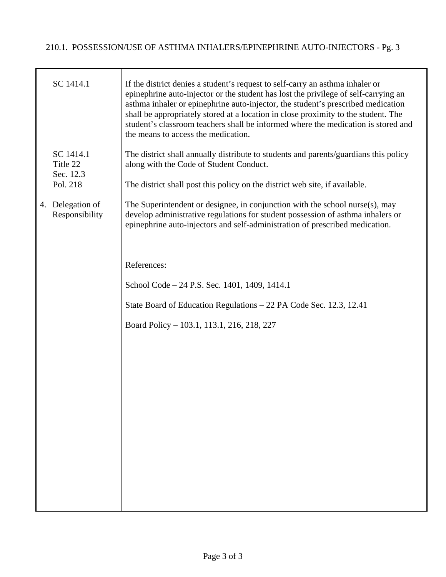| SC 1414.1                          | If the district denies a student's request to self-carry an asthma inhaler or<br>epinephrine auto-injector or the student has lost the privilege of self-carrying an<br>asthma inhaler or epinephrine auto-injector, the student's prescribed medication<br>shall be appropriately stored at a location in close proximity to the student. The<br>student's classroom teachers shall be informed where the medication is stored and<br>the means to access the medication. |
|------------------------------------|----------------------------------------------------------------------------------------------------------------------------------------------------------------------------------------------------------------------------------------------------------------------------------------------------------------------------------------------------------------------------------------------------------------------------------------------------------------------------|
| SC 1414.1<br>Title 22<br>Sec. 12.3 | The district shall annually distribute to students and parents/guardians this policy<br>along with the Code of Student Conduct.                                                                                                                                                                                                                                                                                                                                            |
| Pol. 218                           | The district shall post this policy on the district web site, if available.                                                                                                                                                                                                                                                                                                                                                                                                |
| 4. Delegation of<br>Responsibility | The Superintendent or designee, in conjunction with the school nurse(s), may<br>develop administrative regulations for student possession of asthma inhalers or<br>epinephrine auto-injectors and self-administration of prescribed medication.                                                                                                                                                                                                                            |
|                                    |                                                                                                                                                                                                                                                                                                                                                                                                                                                                            |
|                                    | References:                                                                                                                                                                                                                                                                                                                                                                                                                                                                |
|                                    | School Code – 24 P.S. Sec. 1401, 1409, 1414.1                                                                                                                                                                                                                                                                                                                                                                                                                              |
|                                    | State Board of Education Regulations – 22 PA Code Sec. 12.3, 12.41                                                                                                                                                                                                                                                                                                                                                                                                         |
|                                    | Board Policy – 103.1, 113.1, 216, 218, 227                                                                                                                                                                                                                                                                                                                                                                                                                                 |
|                                    |                                                                                                                                                                                                                                                                                                                                                                                                                                                                            |
|                                    |                                                                                                                                                                                                                                                                                                                                                                                                                                                                            |
|                                    |                                                                                                                                                                                                                                                                                                                                                                                                                                                                            |
|                                    |                                                                                                                                                                                                                                                                                                                                                                                                                                                                            |
|                                    |                                                                                                                                                                                                                                                                                                                                                                                                                                                                            |
|                                    |                                                                                                                                                                                                                                                                                                                                                                                                                                                                            |
|                                    |                                                                                                                                                                                                                                                                                                                                                                                                                                                                            |
|                                    |                                                                                                                                                                                                                                                                                                                                                                                                                                                                            |
|                                    |                                                                                                                                                                                                                                                                                                                                                                                                                                                                            |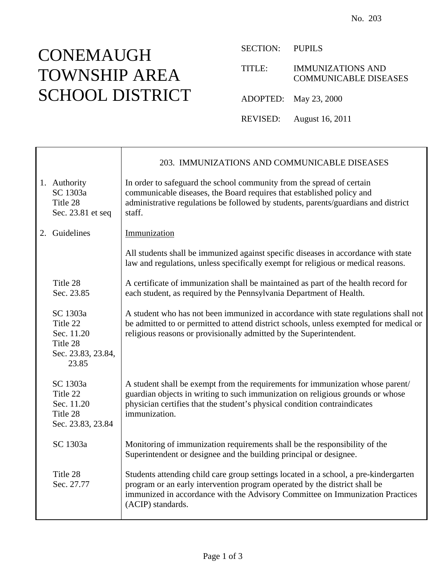⊤

SECTION: PUPILS

TITLE: IMMUNIZATIONS AND COMMUNICABLE DISEASES

ADOPTED: May 23, 2000

REVISED: August 16, 2011

|                                                                               | 203. IMMUNIZATIONS AND COMMUNICABLE DISEASES                                                                                                                                                                                                                             |
|-------------------------------------------------------------------------------|--------------------------------------------------------------------------------------------------------------------------------------------------------------------------------------------------------------------------------------------------------------------------|
| 1. Authority<br>SC 1303a<br>Title 28<br>Sec. 23.81 et seq                     | In order to safeguard the school community from the spread of certain<br>communicable diseases, the Board requires that established policy and<br>administrative regulations be followed by students, parents/guardians and district<br>staff.                           |
| 2. Guidelines                                                                 | Immunization                                                                                                                                                                                                                                                             |
|                                                                               | All students shall be immunized against specific diseases in accordance with state<br>law and regulations, unless specifically exempt for religious or medical reasons.                                                                                                  |
| Title 28<br>Sec. 23.85                                                        | A certificate of immunization shall be maintained as part of the health record for<br>each student, as required by the Pennsylvania Department of Health.                                                                                                                |
| SC 1303a<br>Title 22<br>Sec. 11.20<br>Title 28<br>Sec. 23.83, 23.84,<br>23.85 | A student who has not been immunized in accordance with state regulations shall not<br>be admitted to or permitted to attend district schools, unless exempted for medical or<br>religious reasons or provisionally admitted by the Superintendent.                      |
| SC 1303a<br>Title 22<br>Sec. 11.20<br>Title 28<br>Sec. 23.83, 23.84           | A student shall be exempt from the requirements for immunization whose parent/<br>guardian objects in writing to such immunization on religious grounds or whose<br>physician certifies that the student's physical condition contraindicates<br>immunization.           |
| SC 1303a                                                                      | Monitoring of immunization requirements shall be the responsibility of the<br>Superintendent or designee and the building principal or designee.                                                                                                                         |
| Title 28<br>Sec. 27.77                                                        | Students attending child care group settings located in a school, a pre-kindergarten<br>program or an early intervention program operated by the district shall be<br>immunized in accordance with the Advisory Committee on Immunization Practices<br>(ACIP) standards. |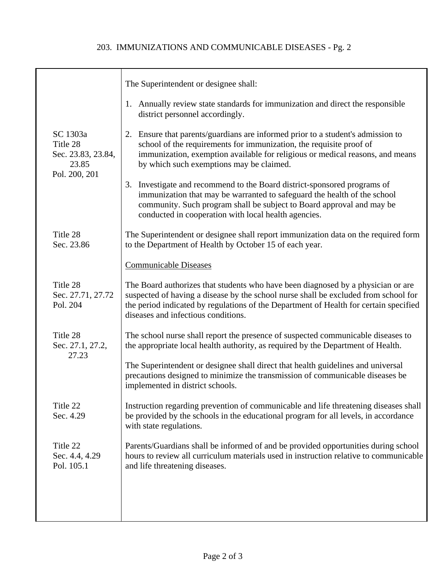|                                                                      | The Superintendent or designee shall:                                                                                                                                                                                                                                                                   |
|----------------------------------------------------------------------|---------------------------------------------------------------------------------------------------------------------------------------------------------------------------------------------------------------------------------------------------------------------------------------------------------|
|                                                                      | 1. Annually review state standards for immunization and direct the responsible<br>district personnel accordingly.                                                                                                                                                                                       |
| SC 1303a<br>Title 28<br>Sec. 23.83, 23.84,<br>23.85<br>Pol. 200, 201 | 2. Ensure that parents/guardians are informed prior to a student's admission to<br>school of the requirements for immunization, the requisite proof of<br>immunization, exemption available for religious or medical reasons, and means<br>by which such exemptions may be claimed.                     |
|                                                                      | 3. Investigate and recommend to the Board district-sponsored programs of<br>immunization that may be warranted to safeguard the health of the school<br>community. Such program shall be subject to Board approval and may be<br>conducted in cooperation with local health agencies.                   |
| Title 28<br>Sec. 23.86                                               | The Superintendent or designee shall report immunization data on the required form<br>to the Department of Health by October 15 of each year.                                                                                                                                                           |
|                                                                      | <b>Communicable Diseases</b>                                                                                                                                                                                                                                                                            |
| Title 28<br>Sec. 27.71, 27.72<br>Pol. 204                            | The Board authorizes that students who have been diagnosed by a physician or are<br>suspected of having a disease by the school nurse shall be excluded from school for<br>the period indicated by regulations of the Department of Health for certain specified<br>diseases and infectious conditions. |
| Title 28<br>Sec. 27.1, 27.2,<br>27.23                                | The school nurse shall report the presence of suspected communicable diseases to<br>the appropriate local health authority, as required by the Department of Health.                                                                                                                                    |
|                                                                      | The Superintendent or designee shall direct that health guidelines and universal<br>precautions designed to minimize the transmission of communicable diseases be<br>implemented in district schools.                                                                                                   |
| Title 22<br>Sec. 4.29                                                | Instruction regarding prevention of communicable and life threatening diseases shall<br>be provided by the schools in the educational program for all levels, in accordance<br>with state regulations.                                                                                                  |
| Title 22<br>Sec. 4.4, 4.29<br>Pol. 105.1                             | Parents/Guardians shall be informed of and be provided opportunities during school<br>hours to review all curriculum materials used in instruction relative to communicable<br>and life threatening diseases.                                                                                           |
|                                                                      |                                                                                                                                                                                                                                                                                                         |
|                                                                      |                                                                                                                                                                                                                                                                                                         |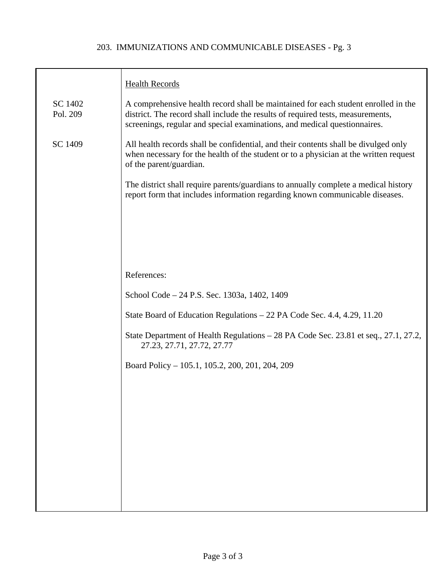#### 203. IMMUNIZATIONS AND COMMUNICABLE DISEASES - Pg. 3

|                     | <b>Health Records</b>                                                                                                                                                                                                                              |
|---------------------|----------------------------------------------------------------------------------------------------------------------------------------------------------------------------------------------------------------------------------------------------|
| SC 1402<br>Pol. 209 | A comprehensive health record shall be maintained for each student enrolled in the<br>district. The record shall include the results of required tests, measurements,<br>screenings, regular and special examinations, and medical questionnaires. |
| SC 1409             | All health records shall be confidential, and their contents shall be divulged only<br>when necessary for the health of the student or to a physician at the written request<br>of the parent/guardian.                                            |
|                     | The district shall require parents/guardians to annually complete a medical history<br>report form that includes information regarding known communicable diseases.                                                                                |
|                     |                                                                                                                                                                                                                                                    |
|                     |                                                                                                                                                                                                                                                    |
|                     | References:                                                                                                                                                                                                                                        |
|                     | School Code – 24 P.S. Sec. 1303a, 1402, 1409                                                                                                                                                                                                       |
|                     | State Board of Education Regulations – 22 PA Code Sec. 4.4, 4.29, 11.20                                                                                                                                                                            |
|                     | State Department of Health Regulations - 28 PA Code Sec. 23.81 et seq., 27.1, 27.2,<br>27.23, 27.71, 27.72, 27.77                                                                                                                                  |
|                     | Board Policy – 105.1, 105.2, 200, 201, 204, 209                                                                                                                                                                                                    |
|                     |                                                                                                                                                                                                                                                    |
|                     |                                                                                                                                                                                                                                                    |
|                     |                                                                                                                                                                                                                                                    |
|                     |                                                                                                                                                                                                                                                    |
|                     |                                                                                                                                                                                                                                                    |
|                     |                                                                                                                                                                                                                                                    |
|                     |                                                                                                                                                                                                                                                    |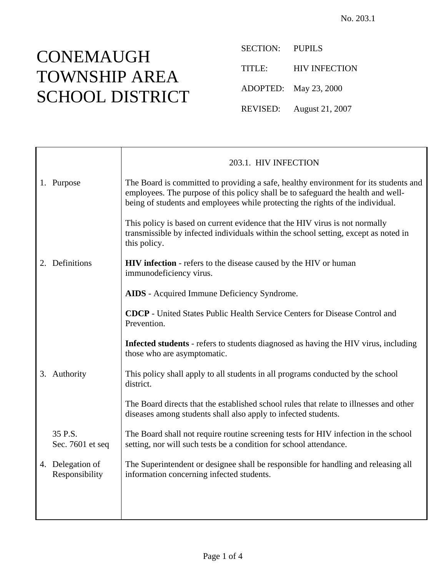SECTION: PUPILS TITLE: HIV INFECTION ADOPTED: May 23, 2000 REVISED: August 21, 2007

|                                    | 203.1. HIV INFECTION                                                                                                                                                                                                                                       |
|------------------------------------|------------------------------------------------------------------------------------------------------------------------------------------------------------------------------------------------------------------------------------------------------------|
| 1. Purpose                         | The Board is committed to providing a safe, healthy environment for its students and<br>employees. The purpose of this policy shall be to safeguard the health and well-<br>being of students and employees while protecting the rights of the individual. |
|                                    | This policy is based on current evidence that the HIV virus is not normally<br>transmissible by infected individuals within the school setting, except as noted in<br>this policy.                                                                         |
| 2. Definitions                     | <b>HIV infection</b> - refers to the disease caused by the HIV or human<br>immunodeficiency virus.                                                                                                                                                         |
|                                    | <b>AIDS</b> - Acquired Immune Deficiency Syndrome.                                                                                                                                                                                                         |
|                                    | <b>CDCP</b> - United States Public Health Service Centers for Disease Control and<br>Prevention.                                                                                                                                                           |
|                                    | Infected students - refers to students diagnosed as having the HIV virus, including<br>those who are asymptomatic.                                                                                                                                         |
| 3. Authority                       | This policy shall apply to all students in all programs conducted by the school<br>district.                                                                                                                                                               |
|                                    | The Board directs that the established school rules that relate to illnesses and other<br>diseases among students shall also apply to infected students.                                                                                                   |
| 35 P.S.<br>Sec. 7601 et seq        | The Board shall not require routine screening tests for HIV infection in the school<br>setting, nor will such tests be a condition for school attendance.                                                                                                  |
| 4. Delegation of<br>Responsibility | The Superintendent or designee shall be responsible for handling and releasing all<br>information concerning infected students.                                                                                                                            |
|                                    |                                                                                                                                                                                                                                                            |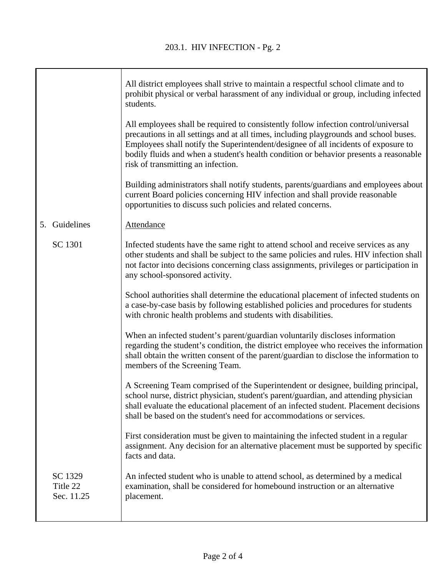|                                   | All district employees shall strive to maintain a respectful school climate and to<br>prohibit physical or verbal harassment of any individual or group, including infected<br>students.                                                                                                                                                                                                         |
|-----------------------------------|--------------------------------------------------------------------------------------------------------------------------------------------------------------------------------------------------------------------------------------------------------------------------------------------------------------------------------------------------------------------------------------------------|
|                                   | All employees shall be required to consistently follow infection control/universal<br>precautions in all settings and at all times, including playgrounds and school buses.<br>Employees shall notify the Superintendent/designee of all incidents of exposure to<br>bodily fluids and when a student's health condition or behavior presents a reasonable<br>risk of transmitting an infection. |
|                                   | Building administrators shall notify students, parents/guardians and employees about<br>current Board policies concerning HIV infection and shall provide reasonable<br>opportunities to discuss such policies and related concerns.                                                                                                                                                             |
| 5. Guidelines                     | <b>Attendance</b>                                                                                                                                                                                                                                                                                                                                                                                |
| SC 1301                           | Infected students have the same right to attend school and receive services as any<br>other students and shall be subject to the same policies and rules. HIV infection shall<br>not factor into decisions concerning class assignments, privileges or participation in<br>any school-sponsored activity.                                                                                        |
|                                   | School authorities shall determine the educational placement of infected students on<br>a case-by-case basis by following established policies and procedures for students<br>with chronic health problems and students with disabilities.                                                                                                                                                       |
|                                   | When an infected student's parent/guardian voluntarily discloses information<br>regarding the student's condition, the district employee who receives the information<br>shall obtain the written consent of the parent/guardian to disclose the information to<br>members of the Screening Team.                                                                                                |
|                                   | A Screening Team comprised of the Superintendent or designee, building principal,<br>school nurse, district physician, student's parent/guardian, and attending physician<br>shall evaluate the educational placement of an infected student. Placement decisions<br>shall be based on the student's need for accommodations or services.                                                        |
|                                   | First consideration must be given to maintaining the infected student in a regular<br>assignment. Any decision for an alternative placement must be supported by specific<br>facts and data.                                                                                                                                                                                                     |
| SC 1329<br>Title 22<br>Sec. 11.25 | An infected student who is unable to attend school, as determined by a medical<br>examination, shall be considered for homebound instruction or an alternative<br>placement.                                                                                                                                                                                                                     |
|                                   |                                                                                                                                                                                                                                                                                                                                                                                                  |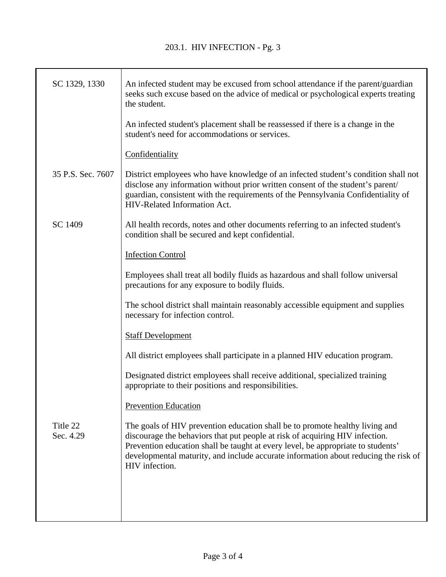| SC 1329, 1330         | An infected student may be excused from school attendance if the parent/guardian<br>seeks such excuse based on the advice of medical or psychological experts treating<br>the student.                                                                                                                                                                    |
|-----------------------|-----------------------------------------------------------------------------------------------------------------------------------------------------------------------------------------------------------------------------------------------------------------------------------------------------------------------------------------------------------|
|                       | An infected student's placement shall be reassessed if there is a change in the<br>student's need for accommodations or services.                                                                                                                                                                                                                         |
|                       | Confidentiality                                                                                                                                                                                                                                                                                                                                           |
| 35 P.S. Sec. 7607     | District employees who have knowledge of an infected student's condition shall not<br>disclose any information without prior written consent of the student's parent/<br>guardian, consistent with the requirements of the Pennsylvania Confidentiality of<br>HIV-Related Information Act.                                                                |
| SC 1409               | All health records, notes and other documents referring to an infected student's<br>condition shall be secured and kept confidential.                                                                                                                                                                                                                     |
|                       | <b>Infection Control</b>                                                                                                                                                                                                                                                                                                                                  |
|                       | Employees shall treat all bodily fluids as hazardous and shall follow universal<br>precautions for any exposure to bodily fluids.                                                                                                                                                                                                                         |
|                       | The school district shall maintain reasonably accessible equipment and supplies<br>necessary for infection control.                                                                                                                                                                                                                                       |
|                       | <b>Staff Development</b>                                                                                                                                                                                                                                                                                                                                  |
|                       | All district employees shall participate in a planned HIV education program.                                                                                                                                                                                                                                                                              |
|                       | Designated district employees shall receive additional, specialized training<br>appropriate to their positions and responsibilities.                                                                                                                                                                                                                      |
|                       | <b>Prevention Education</b>                                                                                                                                                                                                                                                                                                                               |
| Title 22<br>Sec. 4.29 | The goals of HIV prevention education shall be to promote healthy living and<br>discourage the behaviors that put people at risk of acquiring HIV infection.<br>Prevention education shall be taught at every level, be appropriate to students'<br>developmental maturity, and include accurate information about reducing the risk of<br>HIV infection. |
|                       |                                                                                                                                                                                                                                                                                                                                                           |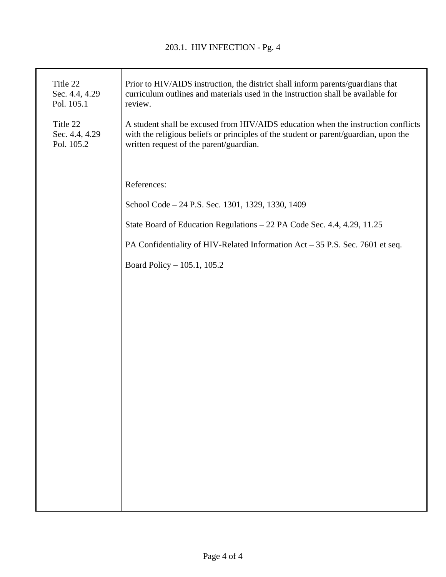| Title 22<br>Sec. 4.4, 4.29<br>Pol. 105.1 | Prior to HIV/AIDS instruction, the district shall inform parents/guardians that<br>curriculum outlines and materials used in the instruction shall be available for<br>review.                                       |
|------------------------------------------|----------------------------------------------------------------------------------------------------------------------------------------------------------------------------------------------------------------------|
| Title 22<br>Sec. 4.4, 4.29<br>Pol. 105.2 | A student shall be excused from HIV/AIDS education when the instruction conflicts<br>with the religious beliefs or principles of the student or parent/guardian, upon the<br>written request of the parent/guardian. |
|                                          |                                                                                                                                                                                                                      |
|                                          | References:                                                                                                                                                                                                          |
|                                          | School Code - 24 P.S. Sec. 1301, 1329, 1330, 1409                                                                                                                                                                    |
|                                          | State Board of Education Regulations - 22 PA Code Sec. 4.4, 4.29, 11.25                                                                                                                                              |
|                                          | PA Confidentiality of HIV-Related Information Act – 35 P.S. Sec. 7601 et seq.                                                                                                                                        |
|                                          | Board Policy - 105.1, 105.2                                                                                                                                                                                          |
|                                          |                                                                                                                                                                                                                      |
|                                          |                                                                                                                                                                                                                      |
|                                          |                                                                                                                                                                                                                      |
|                                          |                                                                                                                                                                                                                      |
|                                          |                                                                                                                                                                                                                      |
|                                          |                                                                                                                                                                                                                      |
|                                          |                                                                                                                                                                                                                      |
|                                          |                                                                                                                                                                                                                      |
|                                          |                                                                                                                                                                                                                      |
|                                          |                                                                                                                                                                                                                      |
|                                          |                                                                                                                                                                                                                      |
|                                          |                                                                                                                                                                                                                      |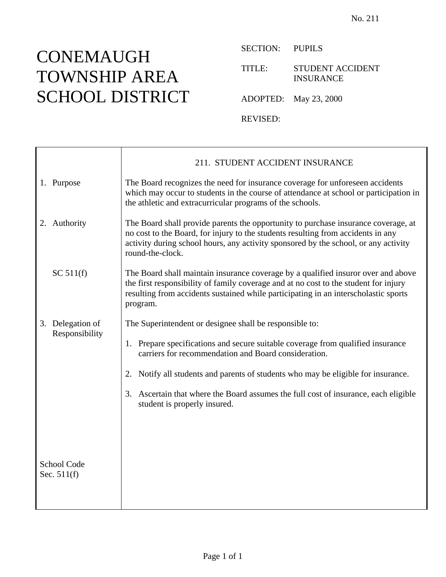SECTION: PUPILS

TITLE: STUDENT ACCIDENT INSURANCE

ADOPTED: May 23, 2000

REVISED:

|                              | 211. STUDENT ACCIDENT INSURANCE                                                                                                                                                                                                                                                   |
|------------------------------|-----------------------------------------------------------------------------------------------------------------------------------------------------------------------------------------------------------------------------------------------------------------------------------|
| 1. Purpose                   | The Board recognizes the need for insurance coverage for unforeseen accidents<br>which may occur to students in the course of attendance at school or participation in<br>the athletic and extracurricular programs of the schools.                                               |
| 2. Authority                 | The Board shall provide parents the opportunity to purchase insurance coverage, at<br>no cost to the Board, for injury to the students resulting from accidents in any<br>activity during school hours, any activity sponsored by the school, or any activity<br>round-the-clock. |
| SC 511(f)                    | The Board shall maintain insurance coverage by a qualified insuror over and above<br>the first responsibility of family coverage and at no cost to the student for injury<br>resulting from accidents sustained while participating in an interscholastic sports<br>program.      |
| 3. Delegation of             | The Superintendent or designee shall be responsible to:                                                                                                                                                                                                                           |
| Responsibility               | 1. Prepare specifications and secure suitable coverage from qualified insurance<br>carriers for recommendation and Board consideration.                                                                                                                                           |
|                              | Notify all students and parents of students who may be eligible for insurance.<br>2.                                                                                                                                                                                              |
|                              | 3. Ascertain that where the Board assumes the full cost of insurance, each eligible<br>student is properly insured.                                                                                                                                                               |
|                              |                                                                                                                                                                                                                                                                                   |
|                              |                                                                                                                                                                                                                                                                                   |
| School Code<br>Sec. $511(f)$ |                                                                                                                                                                                                                                                                                   |
|                              |                                                                                                                                                                                                                                                                                   |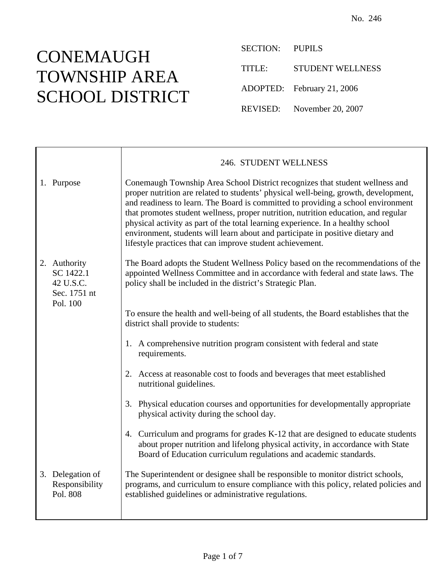SECTION: PUPILS TITLE: STUDENT WELLNESS ADOPTED: February 21, 2006 REVISED: November 20, 2007

|                                                                    | 246. STUDENT WELLNESS                                                                                                                                                                                                                                                                                                                                                                                                                                                                                                                                                           |
|--------------------------------------------------------------------|---------------------------------------------------------------------------------------------------------------------------------------------------------------------------------------------------------------------------------------------------------------------------------------------------------------------------------------------------------------------------------------------------------------------------------------------------------------------------------------------------------------------------------------------------------------------------------|
| 1. Purpose                                                         | Conemaugh Township Area School District recognizes that student wellness and<br>proper nutrition are related to students' physical well-being, growth, development,<br>and readiness to learn. The Board is committed to providing a school environment<br>that promotes student wellness, proper nutrition, nutrition education, and regular<br>physical activity as part of the total learning experience. In a healthy school<br>environment, students will learn about and participate in positive dietary and<br>lifestyle practices that can improve student achievement. |
| 2. Authority<br>SC 1422.1<br>42 U.S.C.<br>Sec. 1751 nt<br>Pol. 100 | The Board adopts the Student Wellness Policy based on the recommendations of the<br>appointed Wellness Committee and in accordance with federal and state laws. The<br>policy shall be included in the district's Strategic Plan.                                                                                                                                                                                                                                                                                                                                               |
|                                                                    | To ensure the health and well-being of all students, the Board establishes that the<br>district shall provide to students:                                                                                                                                                                                                                                                                                                                                                                                                                                                      |
|                                                                    | 1. A comprehensive nutrition program consistent with federal and state<br>requirements.                                                                                                                                                                                                                                                                                                                                                                                                                                                                                         |
|                                                                    | 2. Access at reasonable cost to foods and beverages that meet established<br>nutritional guidelines.                                                                                                                                                                                                                                                                                                                                                                                                                                                                            |
|                                                                    | 3. Physical education courses and opportunities for developmentally appropriate<br>physical activity during the school day.                                                                                                                                                                                                                                                                                                                                                                                                                                                     |
|                                                                    | 4. Curriculum and programs for grades K-12 that are designed to educate students<br>about proper nutrition and lifelong physical activity, in accordance with State<br>Board of Education curriculum regulations and academic standards.                                                                                                                                                                                                                                                                                                                                        |
| 3. Delegation of<br>Responsibility<br>Pol. 808                     | The Superintendent or designee shall be responsible to monitor district schools,<br>programs, and curriculum to ensure compliance with this policy, related policies and<br>established guidelines or administrative regulations.                                                                                                                                                                                                                                                                                                                                               |
|                                                                    |                                                                                                                                                                                                                                                                                                                                                                                                                                                                                                                                                                                 |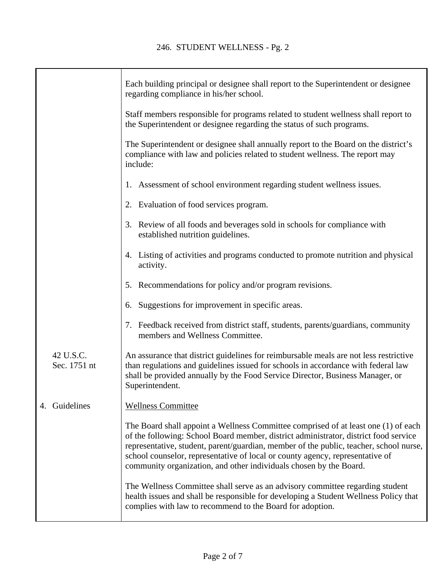|                           | Each building principal or designee shall report to the Superintendent or designee<br>regarding compliance in his/her school.                                                                                                                                                                                                                                                                                               |
|---------------------------|-----------------------------------------------------------------------------------------------------------------------------------------------------------------------------------------------------------------------------------------------------------------------------------------------------------------------------------------------------------------------------------------------------------------------------|
|                           | Staff members responsible for programs related to student wellness shall report to<br>the Superintendent or designee regarding the status of such programs.                                                                                                                                                                                                                                                                 |
|                           | The Superintendent or designee shall annually report to the Board on the district's<br>compliance with law and policies related to student wellness. The report may<br>include:                                                                                                                                                                                                                                             |
|                           | 1. Assessment of school environment regarding student wellness issues.                                                                                                                                                                                                                                                                                                                                                      |
|                           | 2. Evaluation of food services program.                                                                                                                                                                                                                                                                                                                                                                                     |
|                           | Review of all foods and beverages sold in schools for compliance with<br>3.<br>established nutrition guidelines.                                                                                                                                                                                                                                                                                                            |
|                           | 4. Listing of activities and programs conducted to promote nutrition and physical<br>activity.                                                                                                                                                                                                                                                                                                                              |
|                           | 5. Recommendations for policy and/or program revisions.                                                                                                                                                                                                                                                                                                                                                                     |
|                           | 6. Suggestions for improvement in specific areas.                                                                                                                                                                                                                                                                                                                                                                           |
|                           | 7. Feedback received from district staff, students, parents/guardians, community<br>members and Wellness Committee.                                                                                                                                                                                                                                                                                                         |
| 42 U.S.C.<br>Sec. 1751 nt | An assurance that district guidelines for reimbursable meals are not less restrictive<br>than regulations and guidelines issued for schools in accordance with federal law<br>shall be provided annually by the Food Service Director, Business Manager, or<br>Superintendent.                                                                                                                                              |
| 4. Guidelines             | <b>Wellness Committee</b>                                                                                                                                                                                                                                                                                                                                                                                                   |
|                           | The Board shall appoint a Wellness Committee comprised of at least one (1) of each<br>of the following: School Board member, district administrator, district food service<br>representative, student, parent/guardian, member of the public, teacher, school nurse,<br>school counselor, representative of local or county agency, representative of<br>community organization, and other individuals chosen by the Board. |
|                           | The Wellness Committee shall serve as an advisory committee regarding student<br>health issues and shall be responsible for developing a Student Wellness Policy that<br>complies with law to recommend to the Board for adoption.                                                                                                                                                                                          |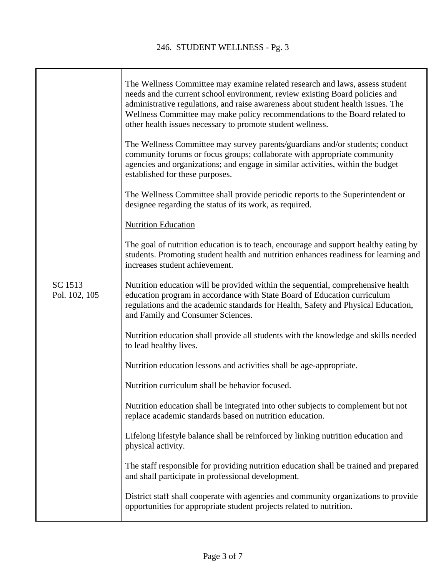$\mathbf{I}$ 

|                          | The Wellness Committee may examine related research and laws, assess student<br>needs and the current school environment, review existing Board policies and<br>administrative regulations, and raise awareness about student health issues. The<br>Wellness Committee may make policy recommendations to the Board related to<br>other health issues necessary to promote student wellness. |
|--------------------------|----------------------------------------------------------------------------------------------------------------------------------------------------------------------------------------------------------------------------------------------------------------------------------------------------------------------------------------------------------------------------------------------|
|                          | The Wellness Committee may survey parents/guardians and/or students; conduct<br>community forums or focus groups; collaborate with appropriate community<br>agencies and organizations; and engage in similar activities, within the budget<br>established for these purposes.                                                                                                               |
|                          | The Wellness Committee shall provide periodic reports to the Superintendent or<br>designee regarding the status of its work, as required.                                                                                                                                                                                                                                                    |
|                          | <b>Nutrition Education</b>                                                                                                                                                                                                                                                                                                                                                                   |
|                          | The goal of nutrition education is to teach, encourage and support healthy eating by<br>students. Promoting student health and nutrition enhances readiness for learning and<br>increases student achievement.                                                                                                                                                                               |
| SC 1513<br>Pol. 102, 105 | Nutrition education will be provided within the sequential, comprehensive health<br>education program in accordance with State Board of Education curriculum<br>regulations and the academic standards for Health, Safety and Physical Education,<br>and Family and Consumer Sciences.                                                                                                       |
|                          | Nutrition education shall provide all students with the knowledge and skills needed<br>to lead healthy lives.                                                                                                                                                                                                                                                                                |
|                          | Nutrition education lessons and activities shall be age-appropriate.                                                                                                                                                                                                                                                                                                                         |
|                          | Nutrition curriculum shall be behavior focused.                                                                                                                                                                                                                                                                                                                                              |
|                          | Nutrition education shall be integrated into other subjects to complement but not<br>replace academic standards based on nutrition education.                                                                                                                                                                                                                                                |
|                          | Lifelong lifestyle balance shall be reinforced by linking nutrition education and<br>physical activity.                                                                                                                                                                                                                                                                                      |
|                          | The staff responsible for providing nutrition education shall be trained and prepared<br>and shall participate in professional development.                                                                                                                                                                                                                                                  |
|                          | District staff shall cooperate with agencies and community organizations to provide<br>opportunities for appropriate student projects related to nutrition.                                                                                                                                                                                                                                  |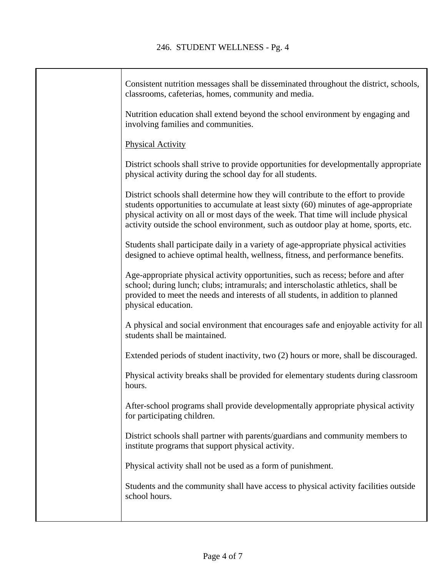| Consistent nutrition messages shall be disseminated throughout the district, schools,<br>classrooms, cafeterias, homes, community and media.                                                                                                                                                                                                           |
|--------------------------------------------------------------------------------------------------------------------------------------------------------------------------------------------------------------------------------------------------------------------------------------------------------------------------------------------------------|
| Nutrition education shall extend beyond the school environment by engaging and<br>involving families and communities.                                                                                                                                                                                                                                  |
| <b>Physical Activity</b>                                                                                                                                                                                                                                                                                                                               |
| District schools shall strive to provide opportunities for developmentally appropriate<br>physical activity during the school day for all students.                                                                                                                                                                                                    |
| District schools shall determine how they will contribute to the effort to provide<br>students opportunities to accumulate at least sixty (60) minutes of age-appropriate<br>physical activity on all or most days of the week. That time will include physical<br>activity outside the school environment, such as outdoor play at home, sports, etc. |
| Students shall participate daily in a variety of age-appropriate physical activities<br>designed to achieve optimal health, wellness, fitness, and performance benefits.                                                                                                                                                                               |
| Age-appropriate physical activity opportunities, such as recess; before and after<br>school; during lunch; clubs; intramurals; and interscholastic athletics, shall be<br>provided to meet the needs and interests of all students, in addition to planned<br>physical education.                                                                      |
| A physical and social environment that encourages safe and enjoyable activity for all<br>students shall be maintained.                                                                                                                                                                                                                                 |
| Extended periods of student inactivity, two (2) hours or more, shall be discouraged.                                                                                                                                                                                                                                                                   |
| Physical activity breaks shall be provided for elementary students during classroom<br>hours.                                                                                                                                                                                                                                                          |
| After-school programs shall provide developmentally appropriate physical activity<br>for participating children.                                                                                                                                                                                                                                       |
| District schools shall partner with parents/guardians and community members to<br>institute programs that support physical activity.                                                                                                                                                                                                                   |
| Physical activity shall not be used as a form of punishment.                                                                                                                                                                                                                                                                                           |
| Students and the community shall have access to physical activity facilities outside<br>school hours.                                                                                                                                                                                                                                                  |
|                                                                                                                                                                                                                                                                                                                                                        |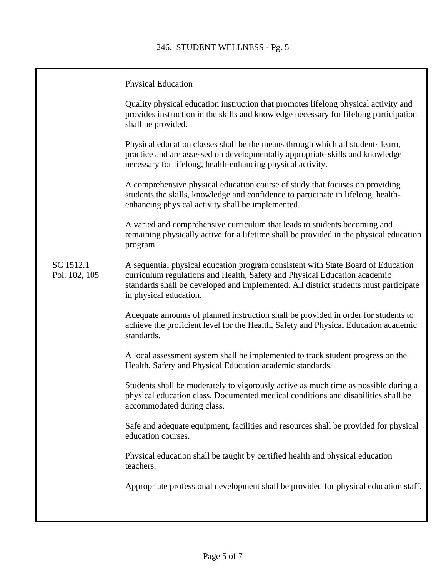|                            | <b>Physical Education</b>                                                                                                                                                                                                                                                       |
|----------------------------|---------------------------------------------------------------------------------------------------------------------------------------------------------------------------------------------------------------------------------------------------------------------------------|
|                            | Quality physical education instruction that promotes lifelong physical activity and<br>provides instruction in the skills and knowledge necessary for lifelong participation<br>shall be provided.                                                                              |
|                            | Physical education classes shall be the means through which all students learn,<br>practice and are assessed on developmentally appropriate skills and knowledge<br>necessary for lifelong, health-enhancing physical activity.                                                 |
|                            | A comprehensive physical education course of study that focuses on providing<br>students the skills, knowledge and confidence to participate in lifelong, health-<br>enhancing physical activity shall be implemented.                                                          |
|                            | A varied and comprehensive curriculum that leads to students becoming and<br>remaining physically active for a lifetime shall be provided in the physical education<br>program.                                                                                                 |
| SC 1512.1<br>Pol. 102, 105 | A sequential physical education program consistent with State Board of Education<br>curriculum regulations and Health, Safety and Physical Education academic<br>standards shall be developed and implemented. All district students must participate<br>in physical education. |
|                            | Adequate amounts of planned instruction shall be provided in order for students to<br>achieve the proficient level for the Health, Safety and Physical Education academic<br>standards.                                                                                         |
|                            | A local assessment system shall be implemented to track student progress on the<br>Health, Safety and Physical Education academic standards.                                                                                                                                    |
|                            | Students shall be moderately to vigorously active as much time as possible during a<br>physical education class. Documented medical conditions and disabilities shall be<br>accommodated during class.                                                                          |
|                            | Safe and adequate equipment, facilities and resources shall be provided for physical<br>education courses.                                                                                                                                                                      |
|                            | Physical education shall be taught by certified health and physical education<br>teachers.                                                                                                                                                                                      |
|                            | Appropriate professional development shall be provided for physical education staff.                                                                                                                                                                                            |
|                            |                                                                                                                                                                                                                                                                                 |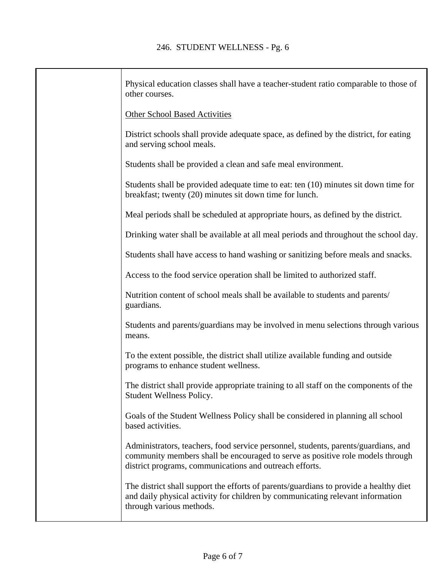| Physical education classes shall have a teacher-student ratio comparable to those of<br>other courses.                                                                                                                          |
|---------------------------------------------------------------------------------------------------------------------------------------------------------------------------------------------------------------------------------|
| <b>Other School Based Activities</b>                                                                                                                                                                                            |
| District schools shall provide adequate space, as defined by the district, for eating<br>and serving school meals.                                                                                                              |
| Students shall be provided a clean and safe meal environment.                                                                                                                                                                   |
| Students shall be provided adequate time to eat: ten (10) minutes sit down time for<br>breakfast; twenty (20) minutes sit down time for lunch.                                                                                  |
| Meal periods shall be scheduled at appropriate hours, as defined by the district.                                                                                                                                               |
| Drinking water shall be available at all meal periods and throughout the school day.                                                                                                                                            |
| Students shall have access to hand washing or sanitizing before meals and snacks.                                                                                                                                               |
| Access to the food service operation shall be limited to authorized staff.                                                                                                                                                      |
| Nutrition content of school meals shall be available to students and parents/<br>guardians.                                                                                                                                     |
| Students and parents/guardians may be involved in menu selections through various<br>means.                                                                                                                                     |
| To the extent possible, the district shall utilize available funding and outside<br>programs to enhance student wellness.                                                                                                       |
| The district shall provide appropriate training to all staff on the components of the<br>Student Wellness Policy.                                                                                                               |
| Goals of the Student Wellness Policy shall be considered in planning all school<br>based activities.                                                                                                                            |
| Administrators, teachers, food service personnel, students, parents/guardians, and<br>community members shall be encouraged to serve as positive role models through<br>district programs, communications and outreach efforts. |
| The district shall support the efforts of parents/guardians to provide a healthy diet<br>and daily physical activity for children by communicating relevant information<br>through various methods.                             |
|                                                                                                                                                                                                                                 |